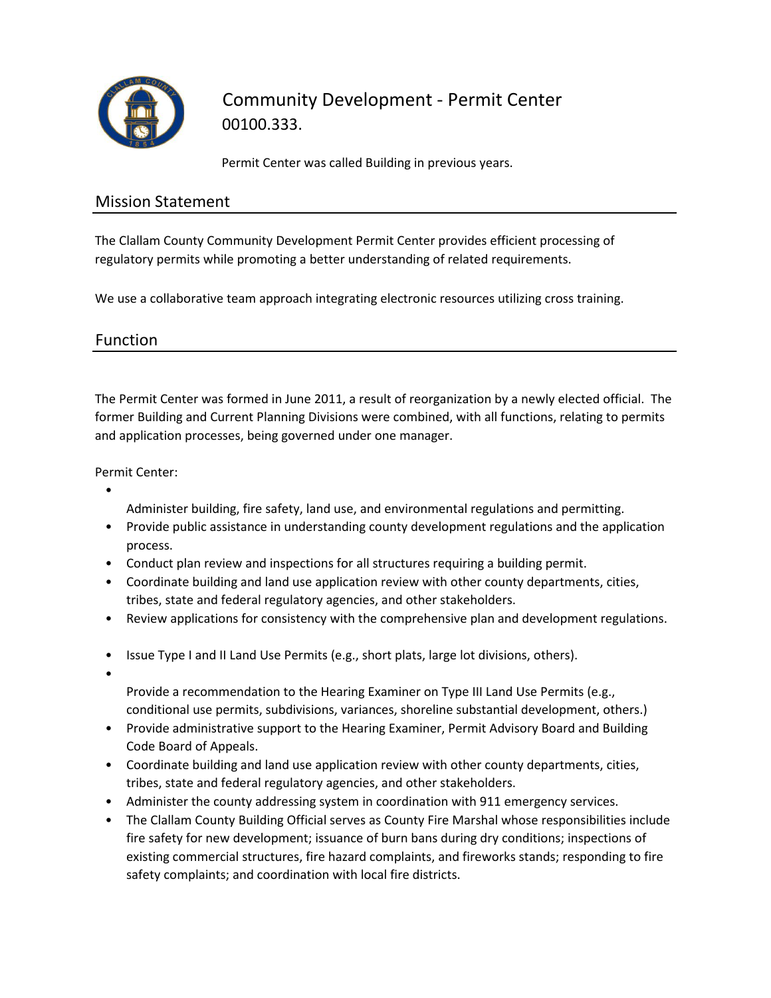

# Community Development - Permit Center 00100.333.

Permit Center was called Building in previous years.

# Mission Statement

The Clallam County Community Development Permit Center provides efficient processing of regulatory permits while promoting a better understanding of related requirements.

We use a collaborative team approach integrating electronic resources utilizing cross training.

### Function

The Permit Center was formed in June 2011, a result of reorganization by a newly elected official. The former Building and Current Planning Divisions were combined, with all functions, relating to permits and application processes, being governed under one manager.

Permit Center:

- Administer building, fire safety, land use, and environmental regulations and permitting.
- Provide public assistance in understanding county development regulations and the application process.
- Conduct plan review and inspections for all structures requiring a building permit.
- Coordinate building and land use application review with other county departments, cities, tribes, state and federal regulatory agencies, and other stakeholders.
- Review applications for consistency with the comprehensive plan and development regulations.
- Issue Type I and II Land Use Permits (e.g., short plats, large lot divisions, others).
- •

Provide a recommendation to the Hearing Examiner on Type III Land Use Permits (e.g., conditional use permits, subdivisions, variances, shoreline substantial development, others.)

- Provide administrative support to the Hearing Examiner, Permit Advisory Board and Building Code Board of Appeals.
- Coordinate building and land use application review with other county departments, cities, tribes, state and federal regulatory agencies, and other stakeholders.
- Administer the county addressing system in coordination with 911 emergency services.
- The Clallam County Building Official serves as County Fire Marshal whose responsibilities include fire safety for new development; issuance of burn bans during dry conditions; inspections of existing commercial structures, fire hazard complaints, and fireworks stands; responding to fire safety complaints; and coordination with local fire districts.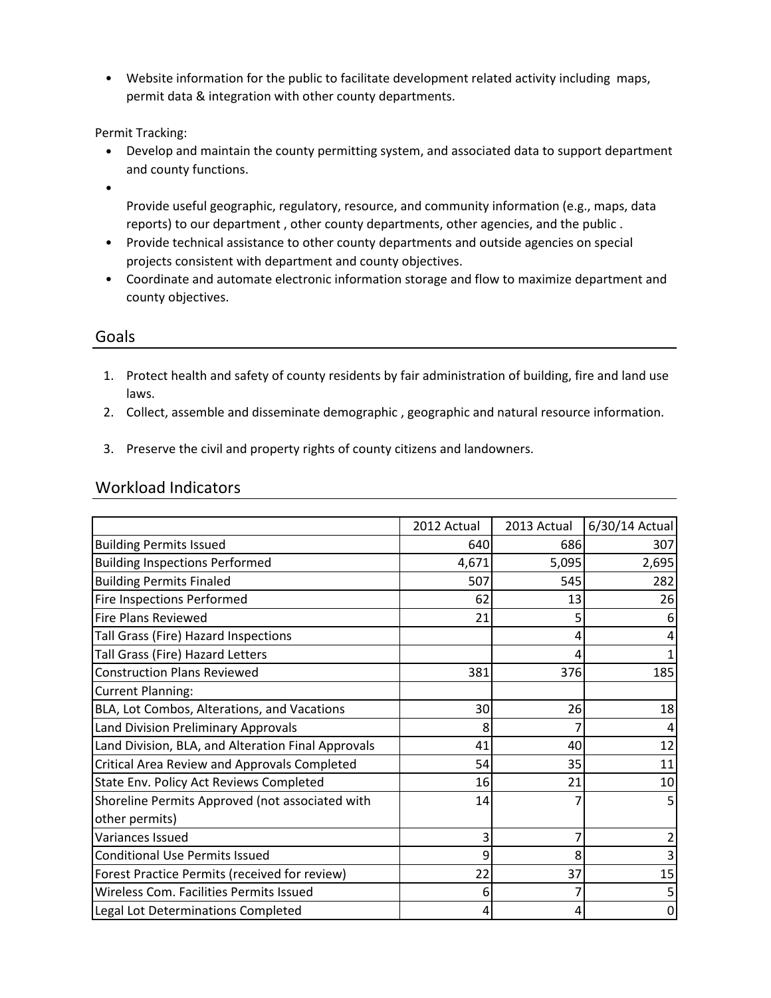• Website information for the public to facilitate development related activity including maps, permit data & integration with other county departments.

Permit Tracking:

- Develop and maintain the county permitting system, and associated data to support department and county functions.
- •
- Provide useful geographic, regulatory, resource, and community information (e.g., maps, data reports) to our department , other county departments, other agencies, and the public .
- Provide technical assistance to other county departments and outside agencies on special projects consistent with department and county objectives.
- Coordinate and automate electronic information storage and flow to maximize department and county objectives.

#### Goals

- 1. Protect health and safety of county residents by fair administration of building, fire and land use laws.
- 2. Collect, assemble and disseminate demographic , geographic and natural resource information.
- 3. Preserve the civil and property rights of county citizens and landowners.

#### Workload Indicators

|                                                    | 2012 Actual | 2013 Actual | 6/30/14 Actual |
|----------------------------------------------------|-------------|-------------|----------------|
| <b>Building Permits Issued</b>                     | 640         | 686         | 307            |
| <b>Building Inspections Performed</b>              | 4,671       | 5,095       | 2,695          |
| <b>Building Permits Finaled</b>                    | 507         | 545         | 282            |
| Fire Inspections Performed                         | 62          | 13          | 26             |
| <b>Fire Plans Reviewed</b>                         | 21          |             |                |
| Tall Grass (Fire) Hazard Inspections               |             | 4           |                |
| Tall Grass (Fire) Hazard Letters                   |             | Δ           |                |
| <b>Construction Plans Reviewed</b>                 | 381         | 376         | 185            |
| <b>Current Planning:</b>                           |             |             |                |
| BLA, Lot Combos, Alterations, and Vacations        | 30          | 26          | 18             |
| Land Division Preliminary Approvals                | 8           |             |                |
| Land Division, BLA, and Alteration Final Approvals | 41          | 40          | 12             |
| Critical Area Review and Approvals Completed       | 54          | 35          | 11             |
| State Env. Policy Act Reviews Completed            | 16          | 21          | 10             |
| Shoreline Permits Approved (not associated with    | 14          |             |                |
| other permits)                                     |             |             |                |
| Variances Issued                                   | 3           |             |                |
| <b>Conditional Use Permits Issued</b>              | 9           | 8           |                |
| Forest Practice Permits (received for review)      | 22          | 37          | 15             |
| Wireless Com. Facilities Permits Issued            | 6           |             |                |
| Legal Lot Determinations Completed                 | 4           | 4           | 0              |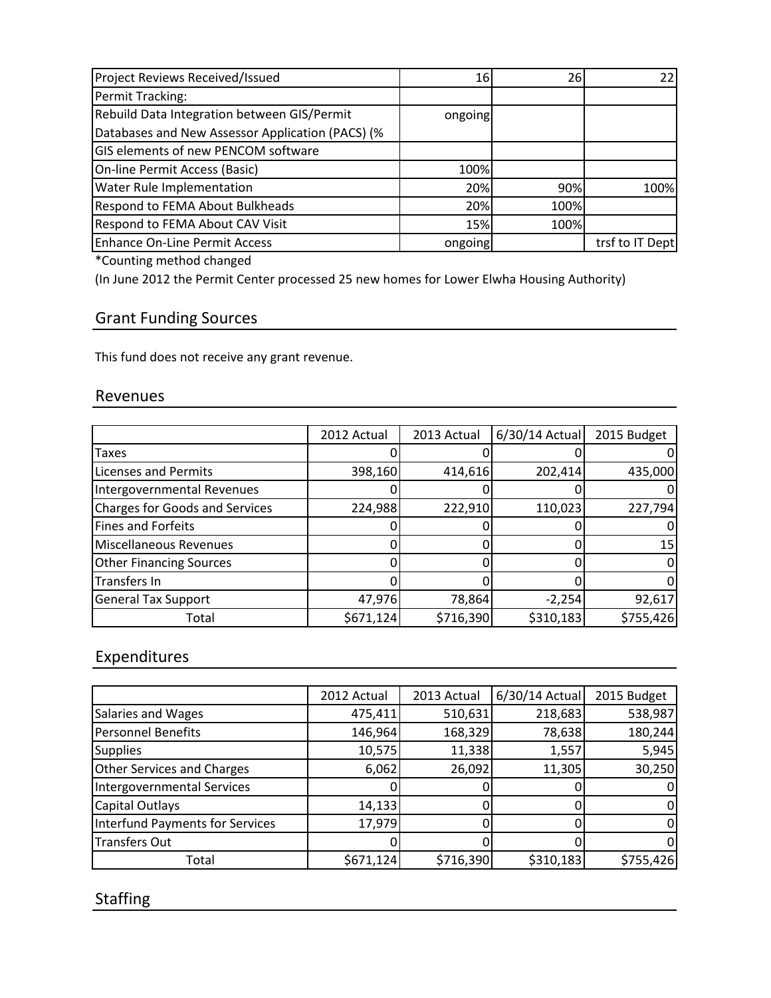| Project Reviews Received/Issued                  | 16      | 261  | 22              |
|--------------------------------------------------|---------|------|-----------------|
| Permit Tracking:                                 |         |      |                 |
| Rebuild Data Integration between GIS/Permit      | ongoing |      |                 |
| Databases and New Assessor Application (PACS) (% |         |      |                 |
| <b>GIS elements of new PENCOM software</b>       |         |      |                 |
| On-line Permit Access (Basic)                    | 100%    |      |                 |
| <b>Water Rule Implementation</b>                 | 20%     | 90%  | 100%            |
| <b>Respond to FEMA About Bulkheads</b>           | 20%     | 100% |                 |
| <b>Respond to FEMA About CAV Visit</b>           | 15%     | 100% |                 |
| Enhance On-Line Permit Access                    | ongoing |      | trsf to IT Dept |

\*Counting method changed

(In June 2012 the Permit Center processed 25 new homes for Lower Elwha Housing Authority)

# Grant Funding Sources

This fund does not receive any grant revenue.

#### Revenues

|                                       | 2012 Actual | 2013 Actual | $6/30/14$ Actual | 2015 Budget |
|---------------------------------------|-------------|-------------|------------------|-------------|
| Taxes                                 |             |             |                  |             |
| <b>Licenses and Permits</b>           | 398,160     | 414,616     | 202,414          | 435,000     |
| Intergovernmental Revenues            |             |             |                  |             |
| <b>Charges for Goods and Services</b> | 224,988     | 222,910     | 110,023          | 227,794     |
| <b>Fines and Forfeits</b>             |             |             |                  |             |
| Miscellaneous Revenues                |             |             |                  | 15          |
| <b>Other Financing Sources</b>        |             |             |                  |             |
| Transfers In                          |             |             |                  |             |
| <b>General Tax Support</b>            | 47,976      | 78,864      | $-2,254$         | 92,617      |
| Total                                 | \$671,124   | \$716,390   | \$310,183        | \$755,426   |

## Expenditures

|                                   | 2012 Actual | 2013 Actual | 6/30/14 Actual | 2015 Budget |
|-----------------------------------|-------------|-------------|----------------|-------------|
|                                   |             |             |                |             |
| Salaries and Wages                | 475,411     | 510,631     | 218,683        | 538,987     |
| Personnel Benefits                | 146,964     | 168,329     | 78,638         | 180,244     |
| <b>Supplies</b>                   | 10,575      | 11,338      | 1,557          | 5,945       |
| <b>Other Services and Charges</b> | 6,062       | 26,092      | 11,305         | 30,250      |
| <b>Intergovernmental Services</b> |             |             |                |             |
| <b>Capital Outlays</b>            | 14,133      |             |                | 0           |
| Interfund Payments for Services   | 17,979      |             |                | 0           |
| <b>Transfers Out</b>              |             |             |                | 0           |
| Total                             | \$671,124   | \$716,390   | \$310,183      | \$755,426   |

# Staffing